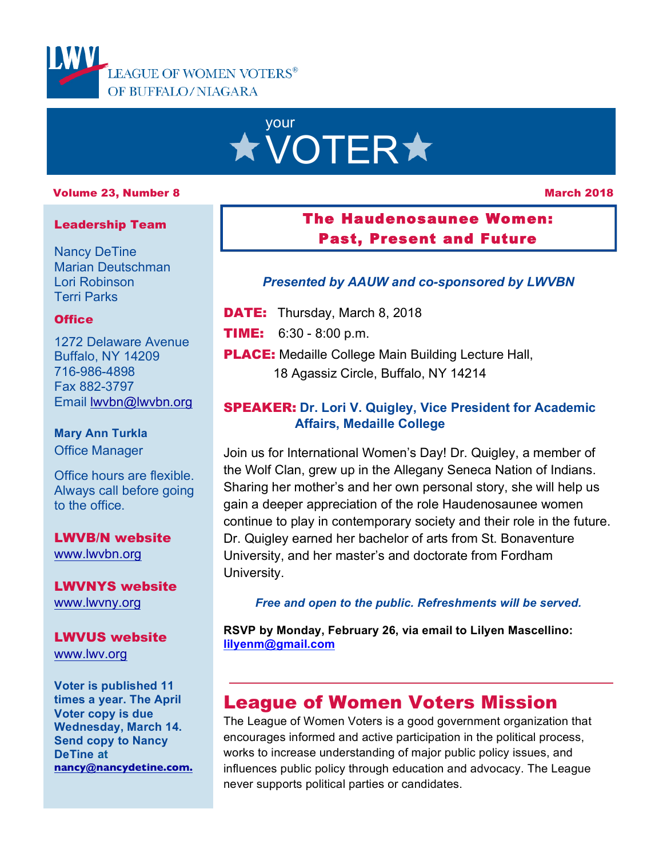

# your **\* VOTER\***

#### Volume 23, Number 8

#### March 2018

#### Leadership Team

Nancy DeTine Marian Deutschman Lori Robinson Terri Parks

#### **Office**

1272 Delaware Avenue Buffalo, NY 14209 716-986-4898 Fax 882-3797 Email lwvbn@lwvbn.org

#### **Mary Ann Turkla** Office Manager

Office hours are flexible. Always call before going to the office.

#### LWVB/N website www.lwvbn.org

LWVNYS website www.lwvny.org

## LWVUS website

www.lwv.org

**Voter is published 11 times a year. The April Voter copy is due Wednesday, March 14. Send copy to Nancy DeTine at nancy@nancydetine.com.**

## The Haudenosaunee Women: Past, Present and Future

#### *Presented by AAUW and co-sponsored by LWVBN*

**DATE:** Thursday, March 8, 2018

- TIME: 6:30 8:00 p.m.
- **PLACE:** Medaille College Main Building Lecture Hall, 18 Agassiz Circle, Buffalo, NY 14214

#### SPEAKER: **Dr. Lori V. Quigley, Vice President for Academic Affairs, Medaille College**

Join us for International Women's Day! Dr. Quigley, a member of the Wolf Clan, grew up in the Allegany Seneca Nation of Indians. Sharing her mother's and her own personal story, she will help us gain a deeper appreciation of the role Haudenosaunee women continue to play in contemporary society and their role in the future. Dr. Quigley earned her bachelor of arts from St. Bonaventure University, and her master's and doctorate from Fordham University.

*Free and open to the public. Refreshments will be served.*

**RSVP by Monday, February 26, via email to Lilyen Mascellino: lilyenm@gmail.com**

## League of Women Voters Mission

The League of Women Voters is a good government organization that encourages informed and active participation in the political process, works to increase understanding of major public policy issues, and influences public policy through education and advocacy. The League never supports political parties or candidates.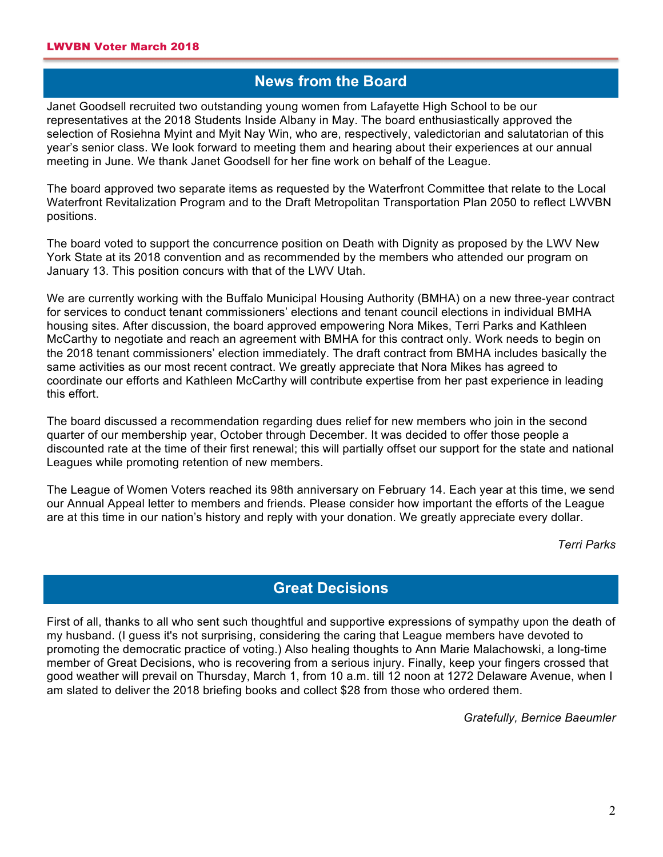## **News from the Board**

Janet Goodsell recruited two outstanding young women from Lafayette High School to be our representatives at the 2018 Students Inside Albany in May. The board enthusiastically approved the selection of Rosiehna Myint and Myit Nay Win, who are, respectively, valedictorian and salutatorian of this year's senior class. We look forward to meeting them and hearing about their experiences at our annual meeting in June. We thank Janet Goodsell for her fine work on behalf of the League.

The board approved two separate items as requested by the Waterfront Committee that relate to the Local Waterfront Revitalization Program and to the Draft Metropolitan Transportation Plan 2050 to reflect LWVBN positions.

The board voted to support the concurrence position on Death with Dignity as proposed by the LWV New York State at its 2018 convention and as recommended by the members who attended our program on January 13. This position concurs with that of the LWV Utah.

We are currently working with the Buffalo Municipal Housing Authority (BMHA) on a new three-year contract for services to conduct tenant commissioners' elections and tenant council elections in individual BMHA housing sites. After discussion, the board approved empowering Nora Mikes, Terri Parks and Kathleen McCarthy to negotiate and reach an agreement with BMHA for this contract only. Work needs to begin on the 2018 tenant commissioners' election immediately. The draft contract from BMHA includes basically the same activities as our most recent contract. We greatly appreciate that Nora Mikes has agreed to coordinate our efforts and Kathleen McCarthy will contribute expertise from her past experience in leading this effort.

The board discussed a recommendation regarding dues relief for new members who join in the second quarter of our membership year, October through December. It was decided to offer those people a discounted rate at the time of their first renewal; this will partially offset our support for the state and national Leagues while promoting retention of new members.

The League of Women Voters reached its 98th anniversary on February 14. Each year at this time, we send our Annual Appeal letter to members and friends. Please consider how important the efforts of the League are at this time in our nation's history and reply with your donation. We greatly appreciate every dollar.

*Terri Parks*

## **Great Decisions**

First of all, thanks to all who sent such thoughtful and supportive expressions of sympathy upon the death of my husband. (I guess it's not surprising, considering the caring that League members have devoted to promoting the democratic practice of voting.) Also healing thoughts to Ann Marie Malachowski, a long-time member of Great Decisions, who is recovering from a serious injury. Finally, keep your fingers crossed that good weather will prevail on Thursday, March 1, from 10 a.m. till 12 noon at 1272 Delaware Avenue, when I am slated to deliver the 2018 briefing books and collect \$28 from those who ordered them.

*Gratefully, Bernice Baeumler*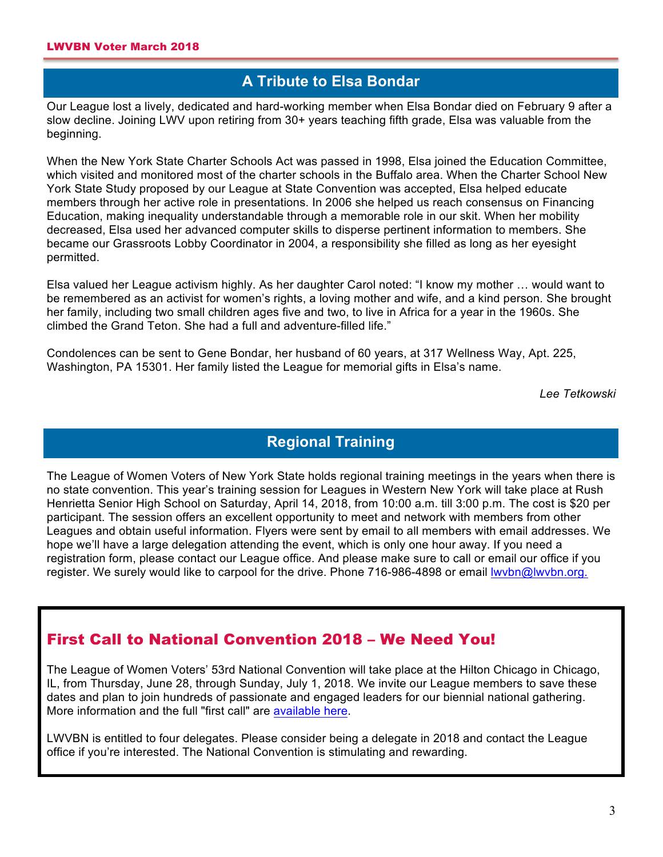## **A Tribute to Elsa Bondar**

Our League lost a lively, dedicated and hard-working member when Elsa Bondar died on February 9 after a slow decline. Joining LWV upon retiring from 30+ years teaching fifth grade, Elsa was valuable from the beginning.

When the New York State Charter Schools Act was passed in 1998, Elsa joined the Education Committee, which visited and monitored most of the charter schools in the Buffalo area. When the Charter School New York State Study proposed by our League at State Convention was accepted, Elsa helped educate members through her active role in presentations. In 2006 she helped us reach consensus on Financing Education, making inequality understandable through a memorable role in our skit. When her mobility decreased, Elsa used her advanced computer skills to disperse pertinent information to members. She became our Grassroots Lobby Coordinator in 2004, a responsibility she filled as long as her eyesight permitted.

Elsa valued her League activism highly. As her daughter Carol noted: "I know my mother … would want to be remembered as an activist for women's rights, a loving mother and wife, and a kind person. She brought her family, including two small children ages five and two, to live in Africa for a year in the 1960s. She climbed the Grand Teton. She had a full and adventure-filled life."

Condolences can be sent to Gene Bondar, her husband of 60 years, at 317 Wellness Way, Apt. 225, Washington, PA 15301. Her family listed the League for memorial gifts in Elsa's name.

*Lee Tetkowski*

## **Regional Training**

The League of Women Voters of New York State holds regional training meetings in the years when there is no state convention. This year's training session for Leagues in Western New York will take place at Rush Henrietta Senior High School on Saturday, April 14, 2018, from 10:00 a.m. till 3:00 p.m. The cost is \$20 per participant. The session offers an excellent opportunity to meet and network with members from other Leagues and obtain useful information. Flyers were sent by email to all members with email addresses. We hope we'll have a large delegation attending the event, which is only one hour away. If you need a registration form, please contact our League office. And please make sure to call or email our office if you register. We surely would like to carpool for the drive. Phone 716-986-4898 or email wvbn@lwvbn.org.

#### First Call to National Convention 2018 – We Need You!

The League of Women Voters' 53rd National Convention will take place at the Hilton Chicago in Chicago, IL, from Thursday, June 28, through Sunday, July 1, 2018. We invite our League members to save these dates and plan to join hundreds of passionate and engaged leaders for our biennial national gathering. More information and the full "first call" are available here.

LWVBN is entitled to four delegates. Please consider being a delegate in 2018 and contact the League office if you're interested. The National Convention is stimulating and rewarding.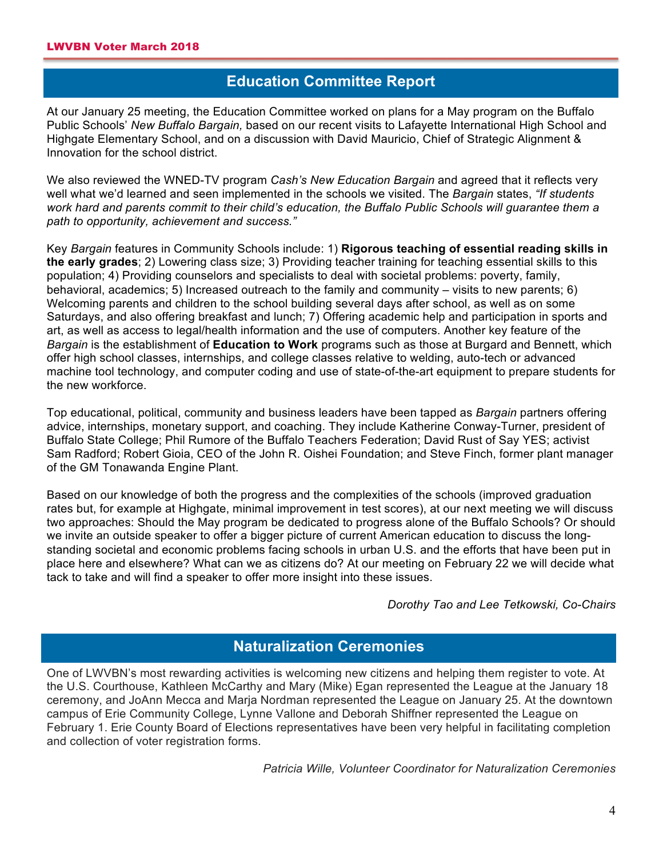## **Education Committee Report**

At our January 25 meeting, the Education Committee worked on plans for a May program on the Buffalo Public Schools' *New Buffalo Bargain,* based on our recent visits to Lafayette International High School and Highgate Elementary School, and on a discussion with David Mauricio, Chief of Strategic Alignment & Innovation for the school district.

We also reviewed the WNED-TV program *Cash's New Education Bargain* and agreed that it reflects very well what we'd learned and seen implemented in the schools we visited. The *Bargain* states, *"If students work hard and parents commit to their child's education, the Buffalo Public Schools will guarantee them a path to opportunity, achievement and success."*

Key *Bargain* features in Community Schools include: 1) **Rigorous teaching of essential reading skills in the early grades**; 2) Lowering class size; 3) Providing teacher training for teaching essential skills to this population; 4) Providing counselors and specialists to deal with societal problems: poverty, family, behavioral, academics; 5) Increased outreach to the family and community – visits to new parents; 6) Welcoming parents and children to the school building several days after school, as well as on some Saturdays, and also offering breakfast and lunch; 7) Offering academic help and participation in sports and art, as well as access to legal/health information and the use of computers. Another key feature of the *Bargain* is the establishment of **Education to Work** programs such as those at Burgard and Bennett, which offer high school classes, internships, and college classes relative to welding, auto-tech or advanced machine tool technology, and computer coding and use of state-of-the-art equipment to prepare students for the new workforce.

Top educational, political, community and business leaders have been tapped as *Bargain* partners offering advice, internships, monetary support, and coaching. They include Katherine Conway-Turner, president of Buffalo State College; Phil Rumore of the Buffalo Teachers Federation; David Rust of Say YES; activist Sam Radford; Robert Gioia, CEO of the John R. Oishei Foundation; and Steve Finch, former plant manager of the GM Tonawanda Engine Plant.

Based on our knowledge of both the progress and the complexities of the schools (improved graduation rates but, for example at Highgate, minimal improvement in test scores), at our next meeting we will discuss two approaches: Should the May program be dedicated to progress alone of the Buffalo Schools? Or should we invite an outside speaker to offer a bigger picture of current American education to discuss the longstanding societal and economic problems facing schools in urban U.S. and the efforts that have been put in place here and elsewhere? What can we as citizens do? At our meeting on February 22 we will decide what tack to take and will find a speaker to offer more insight into these issues.

*Dorothy Tao and Lee Tetkowski, Co-Chairs*

## **Naturalization Ceremonies**

One of LWVBN's most rewarding activities is welcoming new citizens and helping them register to vote. At the U.S. Courthouse, Kathleen McCarthy and Mary (Mike) Egan represented the League at the January 18 ceremony, and JoAnn Mecca and Marja Nordman represented the League on January 25. At the downtown campus of Erie Community College, Lynne Vallone and Deborah Shiffner represented the League on February 1. Erie County Board of Elections representatives have been very helpful in facilitating completion and collection of voter registration forms.

*Patricia Wille, Volunteer Coordinator for Naturalization Ceremonies*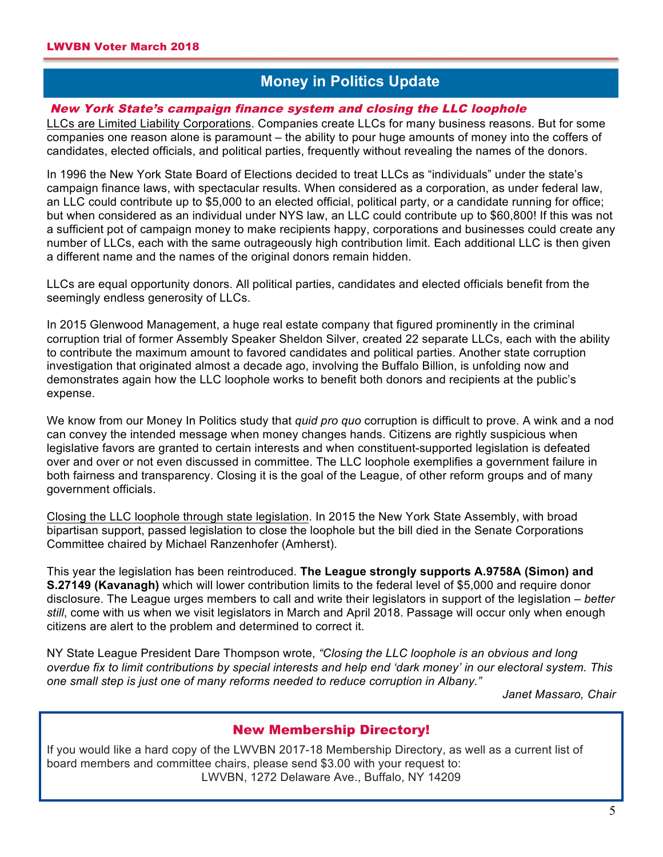## **Money in Politics Update**

#### New York State's campaign finance system and closing the LLC loophole

LLCs are Limited Liability Corporations. Companies create LLCs for many business reasons. But for some companies one reason alone is paramount – the ability to pour huge amounts of money into the coffers of candidates, elected officials, and political parties, frequently without revealing the names of the donors.

In 1996 the New York State Board of Elections decided to treat LLCs as "individuals" under the state's campaign finance laws, with spectacular results. When considered as a corporation, as under federal law, an LLC could contribute up to \$5,000 to an elected official, political party, or a candidate running for office; but when considered as an individual under NYS law, an LLC could contribute up to \$60,800! If this was not a sufficient pot of campaign money to make recipients happy, corporations and businesses could create any number of LLCs, each with the same outrageously high contribution limit. Each additional LLC is then given a different name and the names of the original donors remain hidden.

LLCs are equal opportunity donors. All political parties, candidates and elected officials benefit from the seemingly endless generosity of LLCs.

In 2015 Glenwood Management, a huge real estate company that figured prominently in the criminal corruption trial of former Assembly Speaker Sheldon Silver, created 22 separate LLCs, each with the ability to contribute the maximum amount to favored candidates and political parties. Another state corruption investigation that originated almost a decade ago, involving the Buffalo Billion, is unfolding now and demonstrates again how the LLC loophole works to benefit both donors and recipients at the public's expense.

We know from our Money In Politics study that *quid pro quo* corruption is difficult to prove. A wink and a nod can convey the intended message when money changes hands. Citizens are rightly suspicious when legislative favors are granted to certain interests and when constituent-supported legislation is defeated over and over or not even discussed in committee. The LLC loophole exemplifies a government failure in both fairness and transparency. Closing it is the goal of the League, of other reform groups and of many government officials.

Closing the LLC loophole through state legislation. In 2015 the New York State Assembly, with broad bipartisan support, passed legislation to close the loophole but the bill died in the Senate Corporations Committee chaired by Michael Ranzenhofer (Amherst).

This year the legislation has been reintroduced. **The League strongly supports A.9758A (Simon) and S.27149 (Kavanagh)** which will lower contribution limits to the federal level of \$5,000 and require donor disclosure. The League urges members to call and write their legislators in support of the legislation – *better still*, come with us when we visit legislators in March and April 2018. Passage will occur only when enough citizens are alert to the problem and determined to correct it.

NY State League President Dare Thompson wrote, *"Closing the LLC loophole is an obvious and long overdue fix to limit contributions by special interests and help end 'dark money' in our electoral system. This one small step is just one of many reforms needed to reduce corruption in Albany."*

*Janet Massaro, Chair*

#### New Membership Directory!

If you would like a hard copy of the LWVBN 2017-18 Membership Directory, as well as a current list of board members and committee chairs, please send \$3.00 with your request to: LWVBN, 1272 Delaware Ave., Buffalo, NY 14209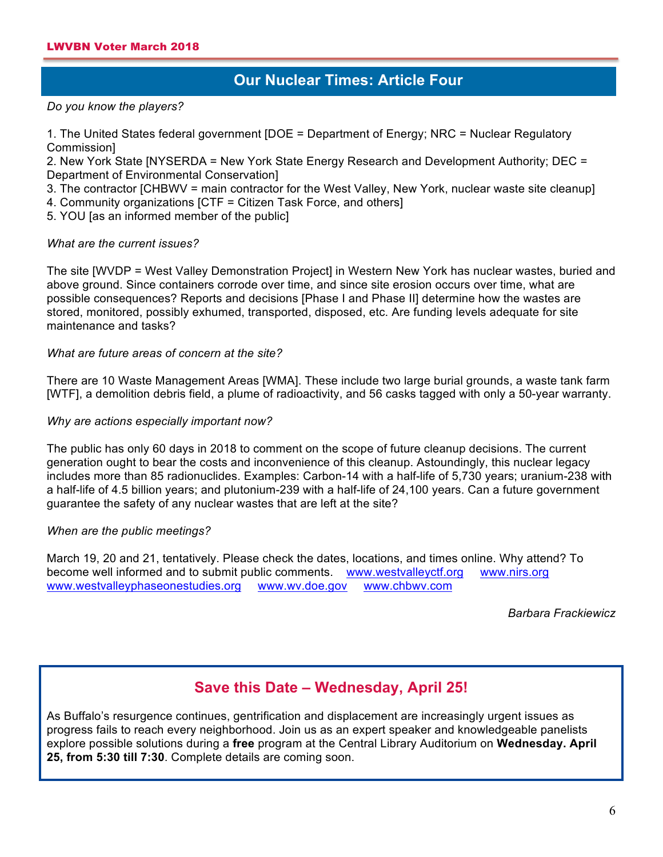## **Our Nuclear Times: Article Four**

*Do you know the players?*

1. The United States federal government [DOE = Department of Energy; NRC = Nuclear Regulatory Commission]

2. New York State [NYSERDA = New York State Energy Research and Development Authority; DEC = Department of Environmental Conservation]

3. The contractor [CHBWV = main contractor for the West Valley, New York, nuclear waste site cleanup]

4. Community organizations [CTF = Citizen Task Force, and others]

5. YOU [as an informed member of the public]

#### *What are the current issues?*

The site [WVDP = West Valley Demonstration Project] in Western New York has nuclear wastes, buried and above ground. Since containers corrode over time, and since site erosion occurs over time, what are possible consequences? Reports and decisions [Phase I and Phase II] determine how the wastes are stored, monitored, possibly exhumed, transported, disposed, etc. Are funding levels adequate for site maintenance and tasks?

#### *What are future areas of concern at the site?*

There are 10 Waste Management Areas [WMA]. These include two large burial grounds, a waste tank farm [WTF], a demolition debris field, a plume of radioactivity, and 56 casks tagged with only a 50-year warranty.

#### *Why are actions especially important now?*

The public has only 60 days in 2018 to comment on the scope of future cleanup decisions. The current generation ought to bear the costs and inconvenience of this cleanup. Astoundingly, this nuclear legacy includes more than 85 radionuclides. Examples: Carbon-14 with a half-life of 5,730 years; uranium-238 with a half-life of 4.5 billion years; and plutonium-239 with a half-life of 24,100 years. Can a future government guarantee the safety of any nuclear wastes that are left at the site?

#### *When are the public meetings?*

March 19, 20 and 21, tentatively. Please check the dates, locations, and times online. Why attend? To become well informed and to submit public comments. www.westvalleyctf.org www.nirs.org www.westvalleyphaseonestudies.org www.wv.doe.gov www.chbwv.com

*Barbara Frackiewicz*

#### **Save this Date – Wednesday, April 25!**

As Buffalo's resurgence continues, gentrification and displacement are increasingly urgent issues as progress fails to reach every neighborhood. Join us as an expert speaker and knowledgeable panelists explore possible solutions during a **free** program at the Central Library Auditorium on **Wednesday. April 25, from 5:30 till 7:30**. Complete details are coming soon.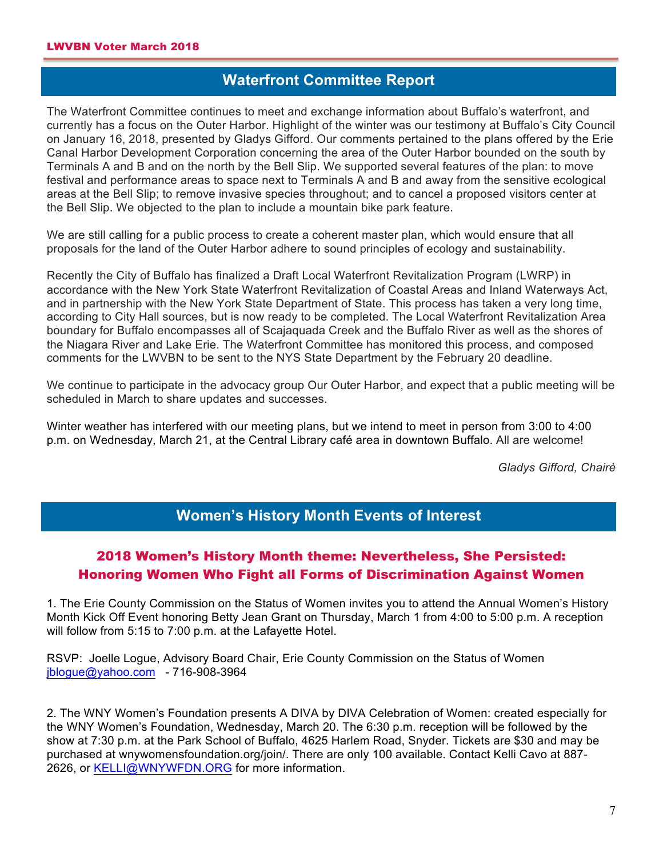## **Waterfront Committee Report**

The Waterfront Committee continues to meet and exchange information about Buffalo's waterfront, and currently has a focus on the Outer Harbor. Highlight of the winter was our testimony at Buffalo's City Council on January 16, 2018, presented by Gladys Gifford. Our comments pertained to the plans offered by the Erie Canal Harbor Development Corporation concerning the area of the Outer Harbor bounded on the south by Terminals A and B and on the north by the Bell Slip. We supported several features of the plan: to move festival and performance areas to space next to Terminals A and B and away from the sensitive ecological areas at the Bell Slip; to remove invasive species throughout; and to cancel a proposed visitors center at the Bell Slip. We objected to the plan to include a mountain bike park feature.

We are still calling for a public process to create a coherent master plan, which would ensure that all proposals for the land of the Outer Harbor adhere to sound principles of ecology and sustainability.

Recently the City of Buffalo has finalized a Draft Local Waterfront Revitalization Program (LWRP) in accordance with the New York State Waterfront Revitalization of Coastal Areas and Inland Waterways Act, and in partnership with the New York State Department of State. This process has taken a very long time, according to City Hall sources, but is now ready to be completed. The Local Waterfront Revitalization Area boundary for Buffalo encompasses all of Scajaquada Creek and the Buffalo River as well as the shores of the Niagara River and Lake Erie. The Waterfront Committee has monitored this process, and composed comments for the LWVBN to be sent to the NYS State Department by the February 20 deadline.

We continue to participate in the advocacy group Our Outer Harbor, and expect that a public meeting will be scheduled in March to share updates and successes.

Winter weather has interfered with our meeting plans, but we intend to meet in person from 3:00 to 4:00 p.m. on Wednesday, March 21, at the Central Library café area in downtown Buffalo. All are welcome!

*Gladys Gifford, Chairè*

## **Women's History Month Events of Interest**

#### 2018 Women's History Month theme: Nevertheless, She Persisted: Honoring Women Who Fight all Forms of Discrimination Against Women

1. The Erie County Commission on the Status of Women invites you to attend the Annual Women's History Month Kick Off Event honoring Betty Jean Grant on Thursday, March 1 from 4:00 to 5:00 p.m. A reception will follow from 5:15 to 7:00 p.m. at the Lafayette Hotel.

RSVP: Joelle Logue, Advisory Board Chair, Erie County Commission on the Status of Women jblogue@yahoo.com - 716-908-3964

2. The WNY Women's Foundation presents A DIVA by DIVA Celebration of Women: created especially for the WNY Women's Foundation, Wednesday, March 20. The 6:30 p.m. reception will be followed by the show at 7:30 p.m. at the Park School of Buffalo, 4625 Harlem Road, Snyder. Tickets are \$30 and may be purchased at wnywomensfoundation.org/join/. There are only 100 available. Contact Kelli Cavo at 887- 2626, or KELLI@WNYWFDN.ORG for more information.